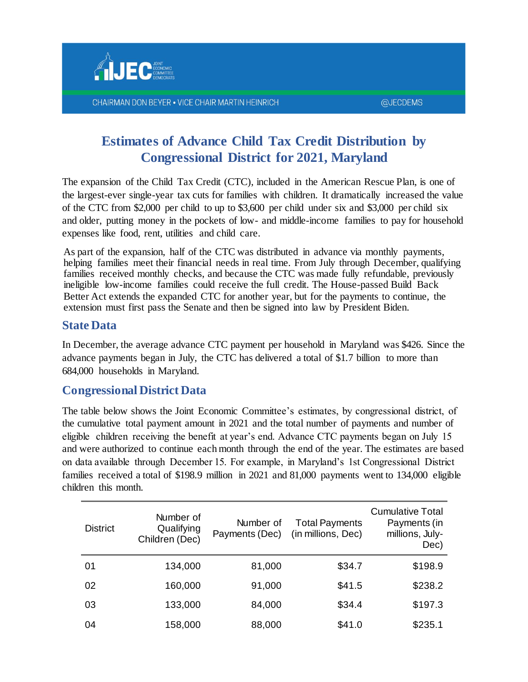

## **Estimates of Advance Child Tax Credit Distribution by Congressional District for 2021, Maryland**

The expansion of the Child Tax Credit (CTC), included in the American Rescue Plan, is one of the largest-ever single-year tax cuts for families with children. It dramatically increased the value of the CTC from \$2,000 per child to up to \$3,600 per child under six and \$3,000 per child six and older, putting money in the pockets of low- and middle-income families to pay for household expenses like food, rent, utilities and child care.

As part of the expansion, half of the CTC was distributed in advance via monthly payments, helping families meet their financial needs in real time. From July through December, qualifying families received monthly checks, and because the CTC was made fully refundable, previously ineligible low-income families could receive the full credit. The House-passed Build Back Better Act extends the expanded CTC for another year, but for the payments to continue, the extension must first pass the Senate and then be signed into law by President Biden.

## **State Data**

In December, the average advance CTC payment per household in Maryland was \$426. Since the advance payments began in July, the CTC has delivered a total of \$1.7 billion to more than 684,000 households in Maryland.

## **Congressional District Data**

The table below shows the Joint Economic Committee's estimates, by congressional district, of the cumulative total payment amount in 2021 and the total number of payments and number of eligible children receiving the benefit at year's end. Advance CTC payments began on July 15 and were authorized to continue each month through the end of the year. The estimates are based on data available through December 15. For example, in Maryland's 1st Congressional District families received a total of \$198.9 million in 2021 and 81,000 payments went to 134,000 eligible children this month.

| <b>District</b> | Number of<br>Qualifying<br>Children (Dec) | Number of<br>Payments (Dec) | <b>Total Payments</b><br>(in millions, Dec) | <b>Cumulative Total</b><br>Payments (in<br>millions, July-<br>Dec) |
|-----------------|-------------------------------------------|-----------------------------|---------------------------------------------|--------------------------------------------------------------------|
| 01              | 134,000                                   | 81,000                      | \$34.7                                      | \$198.9                                                            |
| 02              | 160,000                                   | 91,000                      | \$41.5                                      | \$238.2                                                            |
| 03              | 133,000                                   | 84,000                      | \$34.4                                      | \$197.3                                                            |
| 04              | 158,000                                   | 88,000                      | \$41.0                                      | \$235.1                                                            |